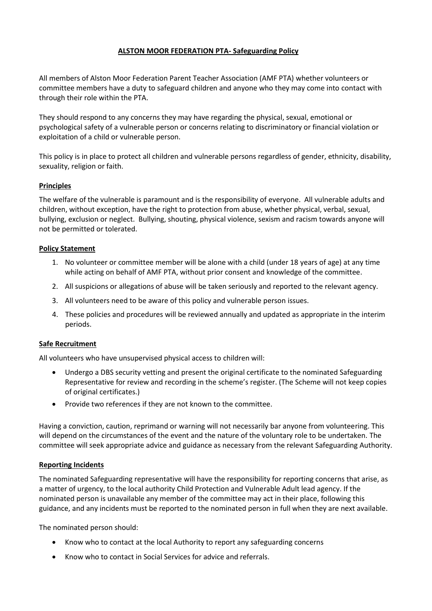# **ALSTON MOOR FEDERATION PTA- Safeguarding Policy**

All members of Alston Moor Federation Parent Teacher Association (AMF PTA) whether volunteers or committee members have a duty to safeguard children and anyone who they may come into contact with through their role within the PTA.

They should respond to any concerns they may have regarding the physical, sexual, emotional or psychological safety of a vulnerable person or concerns relating to discriminatory or financial violation or exploitation of a child or vulnerable person.

This policy is in place to protect all children and vulnerable persons regardless of gender, ethnicity, disability, sexuality, religion or faith.

## **Principles**

The welfare of the vulnerable is paramount and is the responsibility of everyone. All vulnerable adults and children, without exception, have the right to protection from abuse, whether physical, verbal, sexual, bullying, exclusion or neglect. Bullying, shouting, physical violence, sexism and racism towards anyone will not be permitted or tolerated.

### **Policy Statement**

- 1. No volunteer or committee member will be alone with a child (under 18 years of age) at any time while acting on behalf of AMF PTA, without prior consent and knowledge of the committee.
- 2. All suspicions or allegations of abuse will be taken seriously and reported to the relevant agency.
- 3. All volunteers need to be aware of this policy and vulnerable person issues.
- 4. These policies and procedures will be reviewed annually and updated as appropriate in the interim periods.

### **Safe Recruitment**

All volunteers who have unsupervised physical access to children will:

- Undergo a DBS security vetting and present the original certificate to the nominated Safeguarding Representative for review and recording in the scheme's register. (The Scheme will not keep copies of original certificates.)
- Provide two references if they are not known to the committee.

Having a conviction, caution, reprimand or warning will not necessarily bar anyone from volunteering. This will depend on the circumstances of the event and the nature of the voluntary role to be undertaken. The committee will seek appropriate advice and guidance as necessary from the relevant Safeguarding Authority.

### **Reporting Incidents**

The nominated Safeguarding representative will have the responsibility for reporting concerns that arise, as a matter of urgency, to the local authority Child Protection and Vulnerable Adult lead agency. If the nominated person is unavailable any member of the committee may act in their place, following this guidance, and any incidents must be reported to the nominated person in full when they are next available.

The nominated person should:

- Know who to contact at the local Authority to report any safeguarding concerns
- Know who to contact in Social Services for advice and referrals.